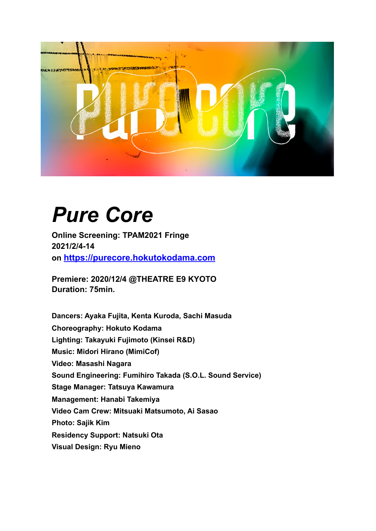

# *Pure Core*

**Online Screening: TPAM2021 Fringe 2021/2/4-14 on<https://purecore.hokutokodama.com>**

**Premiere: 2020/12/4 @THEATRE E9 KYOTO Duration: 75min.**

**Dancers: Ayaka Fujita, Kenta Kuroda, Sachi Masuda Choreography: Hokuto Kodama Lighting: Takayuki Fujimoto (Kinsei R&D) Music: Midori Hirano (MimiCof) Video: Masashi Nagara Sound Engineering: Fumihiro Takada (S.O.L. Sound Service) Stage Manager: Tatsuya Kawamura Management: Hanabi Takemiya Video Cam Crew: Mitsuaki Matsumoto, Ai Sasao Photo: Sajik Kim Residency Support: Natsuki Ota Visual Design: Ryu Mieno**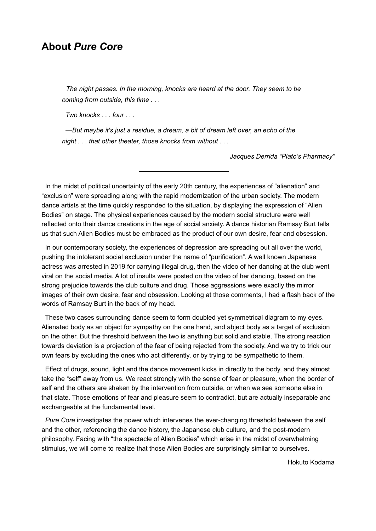# **About** *Pure Core*

*The night passes. In the morning, knocks are heard at the door. They seem to be coming from outside, this time . . .* 

 *Two knocks . . . four . . .* 

 *—But maybe it's just a residue, a dream, a bit of dream left over, an echo of the night . . . that other theater, those knocks from without . . .* 

*Jacques Derrida "Plato's Pharmacy"*

 In the midst of political uncertainty of the early 20th century, the experiences of "alienation" and "exclusion" were spreading along with the rapid modernization of the urban society. The modern dance artists at the time quickly responded to the situation, by displaying the expression of "Alien Bodies" on stage. The physical experiences caused by the modern social structure were well reflected onto their dance creations in the age of social anxiety. A dance historian Ramsay Burt tells us that such Alien Bodies must be embraced as the product of our own desire, fear and obsession.

 In our contemporary society, the experiences of depression are spreading out all over the world, pushing the intolerant social exclusion under the name of "purification". A well known Japanese actress was arrested in 2019 for carrying illegal drug, then the video of her dancing at the club went viral on the social media. A lot of insults were posted on the video of her dancing, based on the strong prejudice towards the club culture and drug. Those aggressions were exactly the mirror images of their own desire, fear and obsession. Looking at those comments, I had a flash back of the words of Ramsay Burt in the back of my head.

 These two cases surrounding dance seem to form doubled yet symmetrical diagram to my eyes. Alienated body as an object for sympathy on the one hand, and abject body as a target of exclusion on the other. But the threshold between the two is anything but solid and stable. The strong reaction towards deviation is a projection of the fear of being rejected from the society. And we try to trick our own fears by excluding the ones who act differently, or by trying to be sympathetic to them.

 Effect of drugs, sound, light and the dance movement kicks in directly to the body, and they almost take the "self" away from us. We react strongly with the sense of fear or pleasure, when the border of self and the others are shaken by the intervention from outside, or when we see someone else in that state. Those emotions of fear and pleasure seem to contradict, but are actually inseparable and exchangeable at the fundamental level.

 *Pure Core* investigates the power which intervenes the ever-changing threshold between the self and the other, referencing the dance history, the Japanese club culture, and the post-modern philosophy. Facing with "the spectacle of Alien Bodies" which arise in the midst of overwhelming stimulus, we will come to realize that those Alien Bodies are surprisingly similar to ourselves.

Hokuto Kodama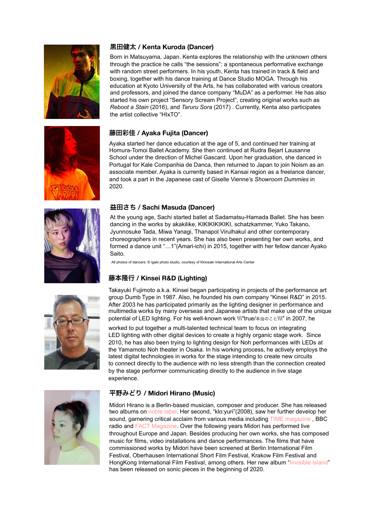



#### 黒田健太 **/ Kenta Kuroda (Dancer)**

Born in Matsuyama, Japan. Kenta explores the relationship with the unknown others through the practice he calls "the sessions": a spontaneous performative exchange with random street performers. In his youth, Kenta has trained in track & field and boxing, together with his dance training at Dance Studio MOGA. Through his education at Kyoto University of the Arts, he has collaborated with various creators and professors, and joined the dance company "MuDA" as a performer. He has also started his own project "Sensory Scream Project", creating original works such as *Reboot a Stain* (2016), and *Taruru Sora* (2017) . Currently, Kenta also participates the artist collective "HIxTO".

#### 藤田彩佳 **/ Ayaka Fujita (Dancer)**

Ayaka started her dance education at the age of 5, and continued her training at Homura-Tomoi Ballet Academy. She then continued at Rudra Bejart Lausanne School under the direction of Michel Gascard. Upon her graduation, she danced in Portugal for Kale Companhia de Danca, then returned to Japan to join Noism as an associate member. Ayaka is currently based in Kansai region as a freelance dancer, and took a part in the Japanese cast of Giselle Vienne's *Showroom Dummies* in 2020.

#### 益田さち **/ Sachi Masuda (Dancer)**

At the young age, Sachi started ballet at Sadamatsu-Hamada Ballet. She has been dancing in the works by akakilike, KIKIKIKIKIKI, schatzkammer, Yuko Takano, Jyunnosuke Tada, Miwa Yanagi, Thanapol Virulhakul and other contemporary choreographers in recent years. She has also been presenting her own works, and formed a dance unit "…1"(Amari-ichi) in 2015, together with her fellow dancer Ayako Saito.

All photos of dancers: © igaki photo studio, courtesy of Kinosaki International Arts Center

#### 藤本隆行 **/ Kinsei R&D (Lighting)**



Takayuki Fujimoto a.k.a. Kinsei began participating in projects of the performance art group Dumb Type in 1987. Also, he founded his own company "Kinsei R&D" in 2015. After 2003 he has participated primarily as the lighting designer in performance and multimedia works by many overseas and Japanese artists that make use of the unique potential of LED lighting. For his well-known work \\\"true/本当のこと\\\" in 2007, he

worked to put together a multi-talented technical team to focus on integrating LED lighting with other digital devices to create a highly organic stage work. Since 2010, he has also been trying to lighting design for Noh performances with LEDs at the Yamamoto Noh theater in Osaka. In his working process, he actively employs the latest digital technologies in works for the stage intending to create new circuits to connect directly to the audience with no less strength than the connection created by the stage performer communicating directly to the audience in live stage experience.



#### 平野みどり **/ Midori Hirano (Music)**

Midori Hirano is a Berlin-based musician, composer and producer. She has released two albums on [noble label.](http://www.noble-label.net/) Her second, "klo:yuri"(2008), saw her further develop her sound, garnering critical acclaim from various media including [TIME magazine](http://www.time.com/time/magazine/article/0,9171,1869274,00.html) , BBC radio and [FACT Magazine.](http://www.factmag.com/2010/01/25/new-talent-midori-hirano/) Over the following years Midori has performed live throughout Europe and Japan. Besides producing her own works, she has composed music for films, video installations and dance performances. The films that have commissioned works by Midori have been screened at Berlin International Film Festival, Oberhausen International Short Film Festival, Krakow Film Festival and HongKong International Film Festival, among others. Her new album "[Invisible Island](https://midorihirano.bandcamp.com/album/invisible-island)" has been released on sonic pieces in the beginning of 2020.